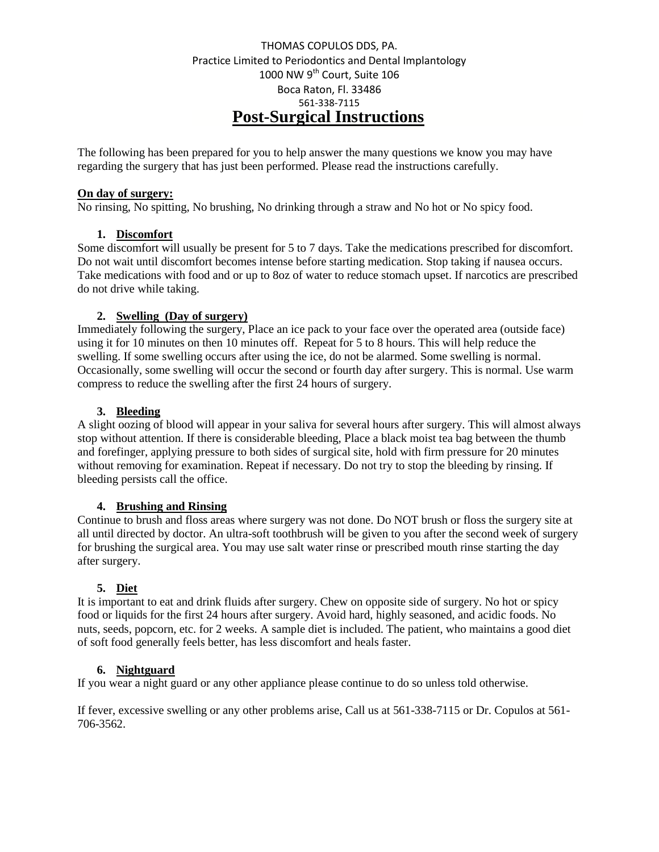# THOMAS COPULOS DDS, PA. Practice Limited to Periodontics and Dental Implantology 1000 NW 9<sup>th</sup> Court, Suite 106 Boca Raton, Fl. 33486 561-338-7115 **Post-Surgical Instructions**

The following has been prepared for you to help answer the many questions we know you may have regarding the surgery that has just been performed. Please read the instructions carefully.

### **On day of surgery:**

No rinsing, No spitting, No brushing, No drinking through a straw and No hot or No spicy food.

# **1. Discomfort**

Some discomfort will usually be present for 5 to 7 days. Take the medications prescribed for discomfort. Do not wait until discomfort becomes intense before starting medication. Stop taking if nausea occurs. Take medications with food and or up to 8oz of water to reduce stomach upset. If narcotics are prescribed do not drive while taking.

### **2. Swelling (Day of surgery)**

Immediately following the surgery, Place an ice pack to your face over the operated area (outside face) using it for 10 minutes on then 10 minutes off. Repeat for 5 to 8 hours. This will help reduce the swelling. If some swelling occurs after using the ice, do not be alarmed. Some swelling is normal. Occasionally, some swelling will occur the second or fourth day after surgery. This is normal. Use warm compress to reduce the swelling after the first 24 hours of surgery.

### **3. Bleeding**

A slight oozing of blood will appear in your saliva for several hours after surgery. This will almost always stop without attention. If there is considerable bleeding, Place a black moist tea bag between the thumb and forefinger, applying pressure to both sides of surgical site, hold with firm pressure for 20 minutes without removing for examination. Repeat if necessary. Do not try to stop the bleeding by rinsing. If bleeding persists call the office.

# **4. Brushing and Rinsing**

Continue to brush and floss areas where surgery was not done. Do NOT brush or floss the surgery site at all until directed by doctor. An ultra-soft toothbrush will be given to you after the second week of surgery for brushing the surgical area. You may use salt water rinse or prescribed mouth rinse starting the day after surgery.

# **5. Diet**

It is important to eat and drink fluids after surgery. Chew on opposite side of surgery. No hot or spicy food or liquids for the first 24 hours after surgery. Avoid hard, highly seasoned, and acidic foods. No nuts, seeds, popcorn, etc. for 2 weeks. A sample diet is included. The patient, who maintains a good diet of soft food generally feels better, has less discomfort and heals faster.

### **6. Nightguard**

If you wear a night guard or any other appliance please continue to do so unless told otherwise.

If fever, excessive swelling or any other problems arise, Call us at 561-338-7115 or Dr. Copulos at 561- 706-3562.